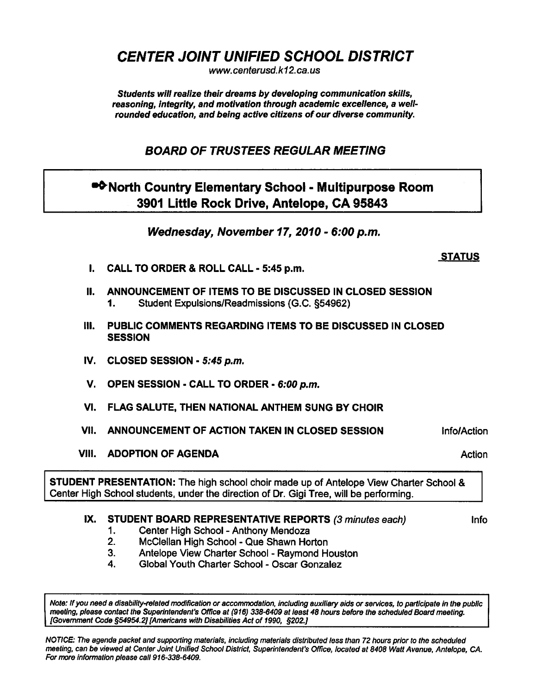CENTER JOINT UNIFIED SCHOOL DISTRICT

www. centerusd.k12. ca.us

Students will realize their dreams by developing communication skills, reasoning, integrity, and motivation through academic excellence, a wellrounded education, and being active citizens of our diverse community.

BOARD OF TRUSTEES REGULAR MEETING

•<sup>•</sup>North Country Elementary School - Multipurpose Room 3901 Little Rock Drive, Antelope, CA 95843

Wednesday, November 17, 2010 - 6:00 p.m.

## STATUS

- I. CALL TO ORDER & ROLL CALL 5:45 p.m.
- II. ANNOUNCEMENT OF ITEMS TO BE DISCUSSED IN CLOSED SESSION 1. Student Expulsions/Readmissions (G.C. §54962)
- III. PUBLIC COMMENTS REGARDING ITEMS TO BE DISCUSSED IN CLOSED **SESSION**
- IV. CLOSED SESSION  $5:45$  p.m.
- V. OPEN SESSION CALL TO ORDER 6:00 p.m.
- VI. FLAG SALUTE, THEN NATIONAL ANTHEM SUNG BY CHOIR
- VII. ANNOUNCEMENT OF ACTION TAKEN IN CLOSED SESSION **Info/Action**
- VIII. ADOPTION OF AGENDA Action Action Action Action Action Action Action

## STUDENT PRESENTATION: The high school choir made up of Antelope View Charter School & Center High School students, under the direction of Dr. Gigi Tree, will be performing.

## IX. STUDENT BOARD REPRESENTATIVE REPORTS (3 minutes each) lnfo

- 1. Center High School Anthony Mendoza
- 2. McClellan High School Que Shawn Horton
- 3. Antelope View Charter School Raymond Houston
- 4. Global Youth Charter School Oscar Gonzalez

Note: If you need a disability-related modification or accommodation, including auxiliary aids or services, to participate in the public meeting, please contact the Superintendent's Office at (916) 338-6409 at least 48 hours before the scheduled Board meeting. [Government Code §54954.2][Americans with Disabilities Act of 1990, §202.]

NOTICE: The agenda packet and supporting materials, including materials distributed less than 72 hours prior to the scheduled meeting, can be viewed at Center Joint Unified School District, Superintendent's Office, located at 8408 Watt Avenue, Antelope, CA. For more information please call 916-338-6409.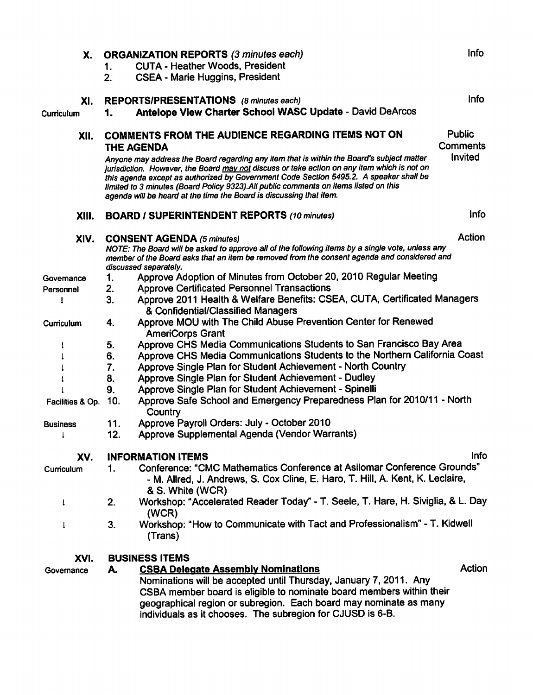| Х.               | Info<br><b>ORGANIZATION REPORTS (3 minutes each)</b>                               |                                                                                                                                                                                                                                                                                                                                                                                                                                                    |               |  |
|------------------|------------------------------------------------------------------------------------|----------------------------------------------------------------------------------------------------------------------------------------------------------------------------------------------------------------------------------------------------------------------------------------------------------------------------------------------------------------------------------------------------------------------------------------------------|---------------|--|
|                  | 1.                                                                                 | <b>CUTA - Heather Woods, President</b>                                                                                                                                                                                                                                                                                                                                                                                                             |               |  |
|                  | 2.                                                                                 | <b>CSEA - Marie Huggins, President</b>                                                                                                                                                                                                                                                                                                                                                                                                             |               |  |
| XI.              |                                                                                    | <b>REPORTS/PRESENTATIONS</b> (8 minutes each)                                                                                                                                                                                                                                                                                                                                                                                                      | Info          |  |
| Curriculum       | 1.                                                                                 | Antelope View Charter School WASC Update - David DeArcos                                                                                                                                                                                                                                                                                                                                                                                           |               |  |
| XII.             | <b>COMMENTS FROM THE AUDIENCE REGARDING ITEMS NOT ON</b><br>Comments<br>THE AGENDA |                                                                                                                                                                                                                                                                                                                                                                                                                                                    |               |  |
|                  |                                                                                    | Anyone may address the Board regarding any item that is within the Board's subject matter<br>jurisdiction. However, the Board may not discuss or take action on any item which is not on<br>this agenda except as authorized by Government Code Section 5495.2. A speaker shall be<br>limited to 3 minutes (Board Policy 9323). All public comments on items listed on this<br>agenda will be heard at the time the Board is discussing that item. | Invited       |  |
| XIII.            |                                                                                    | <b>BOARD / SUPERINTENDENT REPORTS (10 minutes)</b>                                                                                                                                                                                                                                                                                                                                                                                                 | <b>Info</b>   |  |
| XIV.             |                                                                                    | <b>CONSENT AGENDA (5 minutes)</b>                                                                                                                                                                                                                                                                                                                                                                                                                  | <b>Action</b> |  |
|                  |                                                                                    | NOTE: The Board will be asked to approve all of the following items by a single vote, unless any<br>member of the Board asks that an item be removed from the consent agenda and considered and<br>discussed separately.                                                                                                                                                                                                                           |               |  |
| Governance       | 1.                                                                                 | Approve Adoption of Minutes from October 20, 2010 Regular Meeting                                                                                                                                                                                                                                                                                                                                                                                  |               |  |
| Personnel        | 2.                                                                                 | <b>Approve Certificated Personnel Transactions</b>                                                                                                                                                                                                                                                                                                                                                                                                 |               |  |
| I                | 3.                                                                                 | Approve 2011 Health & Welfare Benefits: CSEA, CUTA, Certificated Managers<br>& Confidential/Classified Managers                                                                                                                                                                                                                                                                                                                                    |               |  |
| Curriculum       | 4.                                                                                 | Approve MOU with The Child Abuse Prevention Center for Renewed<br><b>AmeriCorps Grant</b>                                                                                                                                                                                                                                                                                                                                                          |               |  |
| 1                | 5.                                                                                 | Approve CHS Media Communications Students to San Francisco Bay Area                                                                                                                                                                                                                                                                                                                                                                                |               |  |
|                  | 6.                                                                                 | Approve CHS Media Communications Students to the Northern California Coast                                                                                                                                                                                                                                                                                                                                                                         |               |  |
|                  | 7.                                                                                 | Approve Single Plan for Student Achievement - North Country                                                                                                                                                                                                                                                                                                                                                                                        |               |  |
|                  | 8.                                                                                 | Approve Single Plan for Student Achievement - Dudley                                                                                                                                                                                                                                                                                                                                                                                               |               |  |
|                  | 9.                                                                                 | Approve Single Plan for Student Achievement - Spinelli                                                                                                                                                                                                                                                                                                                                                                                             |               |  |
| Facilities & Op. | 10.                                                                                | Approve Safe School and Emergency Preparedness Plan for 2010/11 - North<br>Country                                                                                                                                                                                                                                                                                                                                                                 |               |  |
| <b>Business</b>  | 11.                                                                                | Approve Payroll Orders: July - October 2010                                                                                                                                                                                                                                                                                                                                                                                                        |               |  |
|                  | 12.                                                                                | Approve Supplemental Agenda (Vendor Warrants)                                                                                                                                                                                                                                                                                                                                                                                                      |               |  |
| XV.              |                                                                                    | <b>INFORMATION ITEMS</b>                                                                                                                                                                                                                                                                                                                                                                                                                           | <b>Info</b>   |  |
| Curriculum       | 1.                                                                                 | Conference: "CMC Mathematics Conference at Asilomar Conference Grounds"<br>- M. Allred, J. Andrews, S. Cox Cline, E. Haro, T. Hill, A. Kent, K. Leclaire,<br>& S. White (WCR)                                                                                                                                                                                                                                                                      |               |  |
| 1                | 2.                                                                                 | Workshop: "Accelerated Reader Today" - T. Seele, T. Hare, H. Siviglia, & L. Day<br>(WCR)                                                                                                                                                                                                                                                                                                                                                           |               |  |
| 1                | 3.                                                                                 | Workshop: "How to Communicate with Tact and Professionalism" - T. Kidwell<br>(Trans)                                                                                                                                                                                                                                                                                                                                                               |               |  |
| XVI.             |                                                                                    | <b>BUSINESS ITEMS</b>                                                                                                                                                                                                                                                                                                                                                                                                                              |               |  |
| Governance       | A.                                                                                 | <b>CSBA Delegate Assembly Nominations</b><br>Nominations will be accepted until Thursday, January 7, 2011. Any<br>CSBA member board is eligible to nominate board members within their<br>geographical region or subregion. Each board may nominate as many<br>individuals as it chooses. The subregion for CJUSD is 6-B.                                                                                                                          | Action        |  |